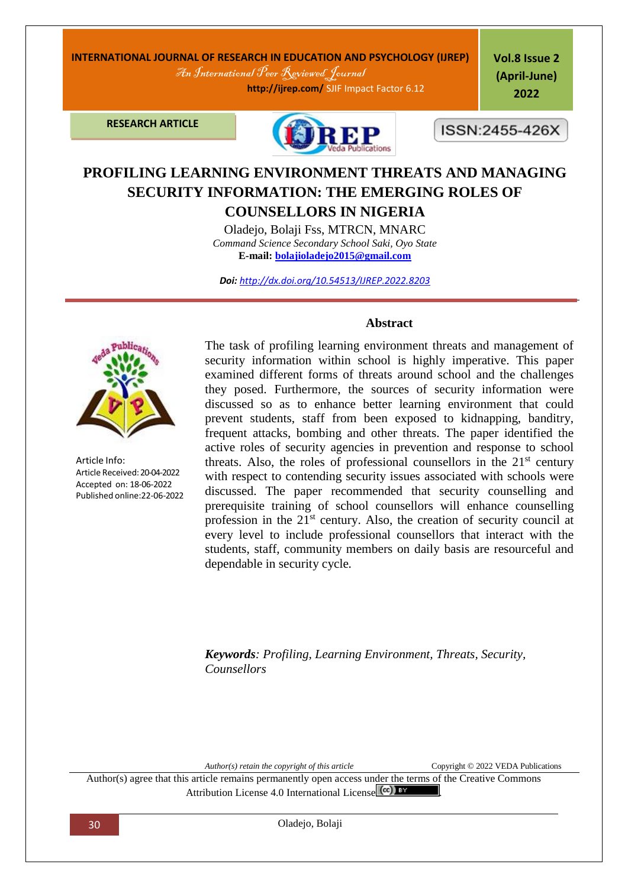# **INTERNATIONAL JOURNAL OF RESEARCH IN EDUCATION AND PSYCHOLOGY (IJREP)** An International Peer Reviewed Journal

 **http://ijrep.com/** SJIF Impact Factor 6.12

**Vol.8 Issue 2 (April-June) 2022**

**RESEARCH ARTICLE**



ISSN:2455-426X

# **PROFILING LEARNING ENVIRONMENT THREATS AND MANAGING SECURITY INFORMATION: THE EMERGING ROLES OF**

**COUNSELLORS IN NIGERIA**

Oladejo, Bolaji Fss, MTRCN, MNARC *Command Science Secondary School Saki, Oyo State* **E-mail: [bolajioladejo2015@gmail.com](mailto:bolajioladejo2015@gmail.com)**

*Doi: <http://dx.doi.org/10.54513/IJREP.2022.8203>*



Article Info: Article Received: 20-04-2022 Accepted on: 18-06-2022 Published online:22-06-2022

#### **Abstract**

The task of profiling learning environment threats and management of security information within school is highly imperative. This paper examined different forms of threats around school and the challenges they posed. Furthermore, the sources of security information were discussed so as to enhance better learning environment that could prevent students, staff from been exposed to kidnapping, banditry, frequent attacks, bombing and other threats. The paper identified the active roles of security agencies in prevention and response to school threats. Also, the roles of professional counsellors in the  $21<sup>st</sup>$  century with respect to contending security issues associated with schools were discussed. The paper recommended that security counselling and prerequisite training of school counsellors will enhance counselling profession in the 21<sup>st</sup> century. Also, the creation of security council at every level to include professional counsellors that interact with the students, staff, community members on daily basis are resourceful and dependable in security cycle*.* 

*Keywords: Profiling, Learning Environment, Threats, Security, Counsellors*

*Author(s) retain the copyright of this article* Copyright © 2022 VEDA Publications

Author(s) agree that this article remains permanently open access under the terms of the Creative Commons Attribution License 4[.](http://creativecommons.org/licenses/by/4.0/)0 International License  $\left(\alpha\right)$  BY

30 Oladejo, Bolaji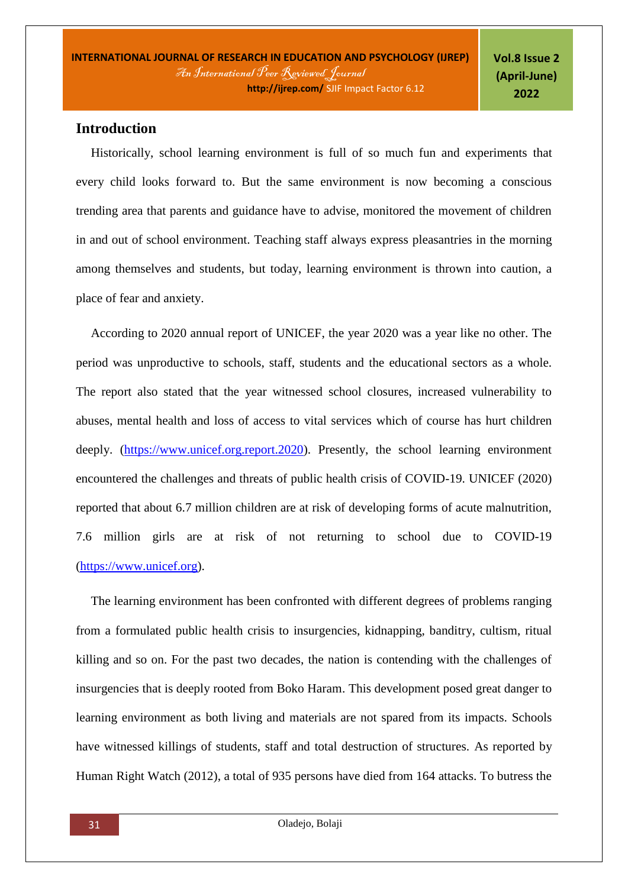# **Introduction**

Historically, school learning environment is full of so much fun and experiments that every child looks forward to. But the same environment is now becoming a conscious trending area that parents and guidance have to advise, monitored the movement of children in and out of school environment. Teaching staff always express pleasantries in the morning among themselves and students, but today, learning environment is thrown into caution, a place of fear and anxiety.

According to 2020 annual report of UNICEF, the year 2020 was a year like no other. The period was unproductive to schools, staff, students and the educational sectors as a whole. The report also stated that the year witnessed school closures, increased vulnerability to abuses, mental health and loss of access to vital services which of course has hurt children deeply. [\(https://www.unicef.org.report.2020\)](https://www.unicef.org.report.2020/). Presently, the school learning environment encountered the challenges and threats of public health crisis of COVID-19. UNICEF (2020) reported that about 6.7 million children are at risk of developing forms of acute malnutrition, 7.6 million girls are at risk of not returning to school due to COVID-19 [\(https://www.unicef.org\)](https://www.unicef.org/).

The learning environment has been confronted with different degrees of problems ranging from a formulated public health crisis to insurgencies, kidnapping, banditry, cultism, ritual killing and so on. For the past two decades, the nation is contending with the challenges of insurgencies that is deeply rooted from Boko Haram. This development posed great danger to learning environment as both living and materials are not spared from its impacts. Schools have witnessed killings of students, staff and total destruction of structures. As reported by Human Right Watch (2012), a total of 935 persons have died from 164 attacks. To butress the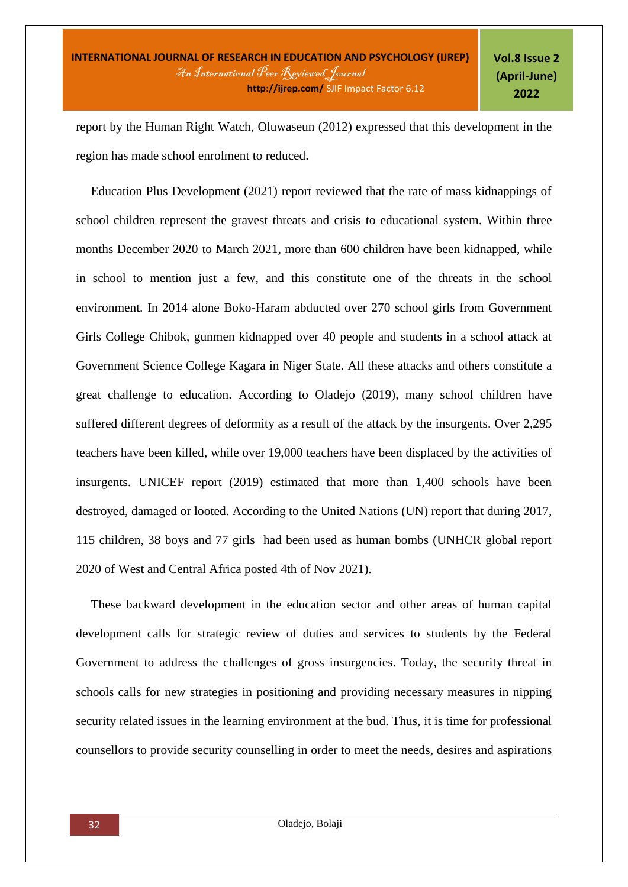report by the Human Right Watch, Oluwaseun (2012) expressed that this development in the region has made school enrolment to reduced.

Education Plus Development (2021) report reviewed that the rate of mass kidnappings of school children represent the gravest threats and crisis to educational system. Within three months December 2020 to March 2021, more than 600 children have been kidnapped, while in school to mention just a few, and this constitute one of the threats in the school environment. In 2014 alone Boko-Haram abducted over 270 school girls from Government Girls College Chibok, gunmen kidnapped over 40 people and students in a school attack at Government Science College Kagara in Niger State. All these attacks and others constitute a great challenge to education. According to Oladejo (2019), many school children have suffered different degrees of deformity as a result of the attack by the insurgents. Over 2,295 teachers have been killed, while over 19,000 teachers have been displaced by the activities of insurgents. UNICEF report (2019) estimated that more than 1,400 schools have been destroyed, damaged or looted. According to the United Nations (UN) report that during 2017, 115 children, 38 boys and 77 girls had been used as human bombs (UNHCR global report 2020 of West and Central Africa posted 4th of Nov 2021).

These backward development in the education sector and other areas of human capital development calls for strategic review of duties and services to students by the Federal Government to address the challenges of gross insurgencies. Today, the security threat in schools calls for new strategies in positioning and providing necessary measures in nipping security related issues in the learning environment at the bud. Thus, it is time for professional counsellors to provide security counselling in order to meet the needs, desires and aspirations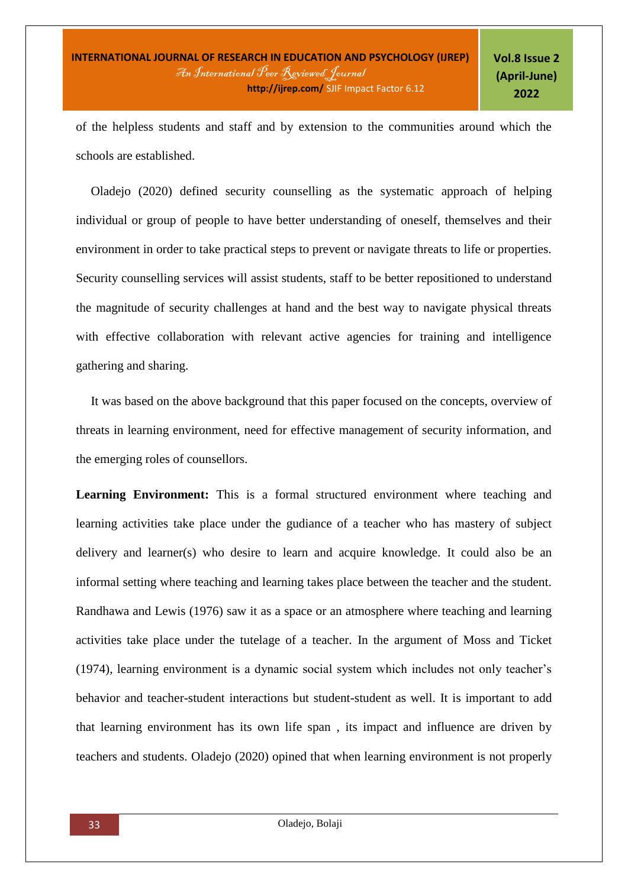of the helpless students and staff and by extension to the communities around which the schools are established.

Oladejo (2020) defined security counselling as the systematic approach of helping individual or group of people to have better understanding of oneself, themselves and their environment in order to take practical steps to prevent or navigate threats to life or properties. Security counselling services will assist students, staff to be better repositioned to understand the magnitude of security challenges at hand and the best way to navigate physical threats with effective collaboration with relevant active agencies for training and intelligence gathering and sharing.

It was based on the above background that this paper focused on the concepts, overview of threats in learning environment, need for effective management of security information, and the emerging roles of counsellors.

Learning Environment: This is a formal structured environment where teaching and learning activities take place under the gudiance of a teacher who has mastery of subject delivery and learner(s) who desire to learn and acquire knowledge. It could also be an informal setting where teaching and learning takes place between the teacher and the student. Randhawa and Lewis (1976) saw it as a space or an atmosphere where teaching and learning activities take place under the tutelage of a teacher. In the argument of Moss and Ticket (1974), learning environment is a dynamic social system which includes not only teacher's behavior and teacher-student interactions but student-student as well. It is important to add that learning environment has its own life span , its impact and influence are driven by teachers and students. Oladejo (2020) opined that when learning environment is not properly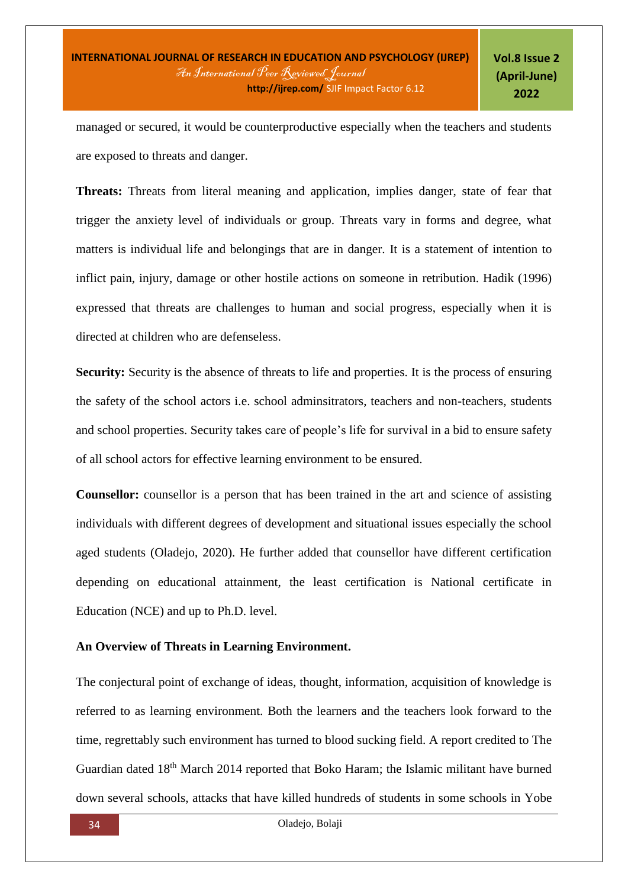managed or secured, it would be counterproductive especially when the teachers and students are exposed to threats and danger.

**Threats:** Threats from literal meaning and application, implies danger, state of fear that trigger the anxiety level of individuals or group. Threats vary in forms and degree, what matters is individual life and belongings that are in danger. It is a statement of intention to inflict pain, injury, damage or other hostile actions on someone in retribution. Hadik (1996) expressed that threats are challenges to human and social progress, especially when it is directed at children who are defenseless.

**Security:** Security is the absence of threats to life and properties. It is the process of ensuring the safety of the school actors i.e. school adminsitrators, teachers and non-teachers, students and school properties. Security takes care of people's life for survival in a bid to ensure safety of all school actors for effective learning environment to be ensured.

**Counsellor:** counsellor is a person that has been trained in the art and science of assisting individuals with different degrees of development and situational issues especially the school aged students (Oladejo, 2020). He further added that counsellor have different certification depending on educational attainment, the least certification is National certificate in Education (NCE) and up to Ph.D. level.

### **An Overview of Threats in Learning Environment.**

The conjectural point of exchange of ideas, thought, information, acquisition of knowledge is referred to as learning environment. Both the learners and the teachers look forward to the time, regrettably such environment has turned to blood sucking field. A report credited to The Guardian dated 18th March 2014 reported that Boko Haram; the Islamic militant have burned down several schools, attacks that have killed hundreds of students in some schools in Yobe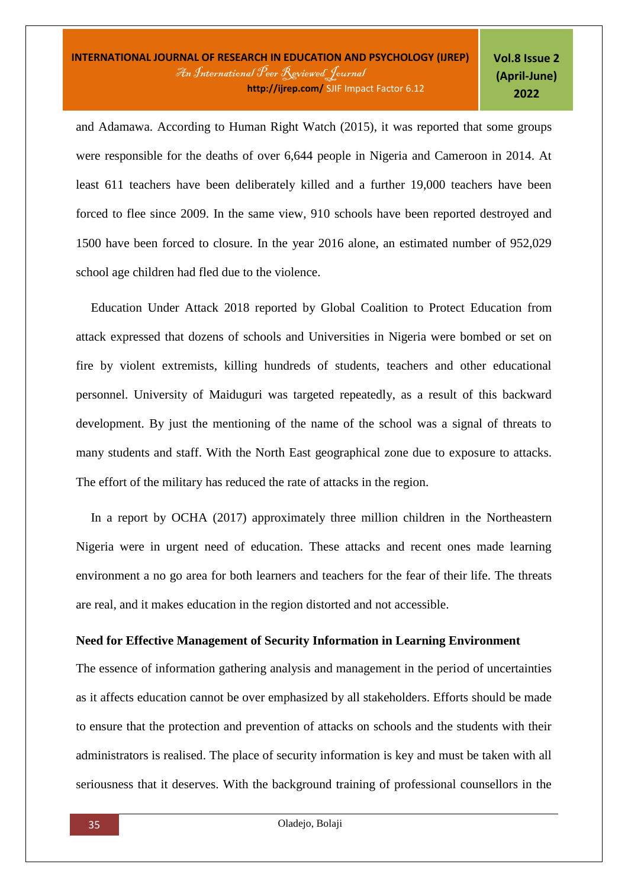and Adamawa. According to Human Right Watch (2015), it was reported that some groups were responsible for the deaths of over 6,644 people in Nigeria and Cameroon in 2014. At least 611 teachers have been deliberately killed and a further 19,000 teachers have been forced to flee since 2009. In the same view, 910 schools have been reported destroyed and 1500 have been forced to closure. In the year 2016 alone, an estimated number of 952,029 school age children had fled due to the violence.

Education Under Attack 2018 reported by Global Coalition to Protect Education from attack expressed that dozens of schools and Universities in Nigeria were bombed or set on fire by violent extremists, killing hundreds of students, teachers and other educational personnel. University of Maiduguri was targeted repeatedly, as a result of this backward development. By just the mentioning of the name of the school was a signal of threats to many students and staff. With the North East geographical zone due to exposure to attacks. The effort of the military has reduced the rate of attacks in the region.

In a report by OCHA (2017) approximately three million children in the Northeastern Nigeria were in urgent need of education. These attacks and recent ones made learning environment a no go area for both learners and teachers for the fear of their life. The threats are real, and it makes education in the region distorted and not accessible.

# **Need for Effective Management of Security Information in Learning Environment**

The essence of information gathering analysis and management in the period of uncertainties as it affects education cannot be over emphasized by all stakeholders. Efforts should be made to ensure that the protection and prevention of attacks on schools and the students with their administrators is realised. The place of security information is key and must be taken with all seriousness that it deserves. With the background training of professional counsellors in the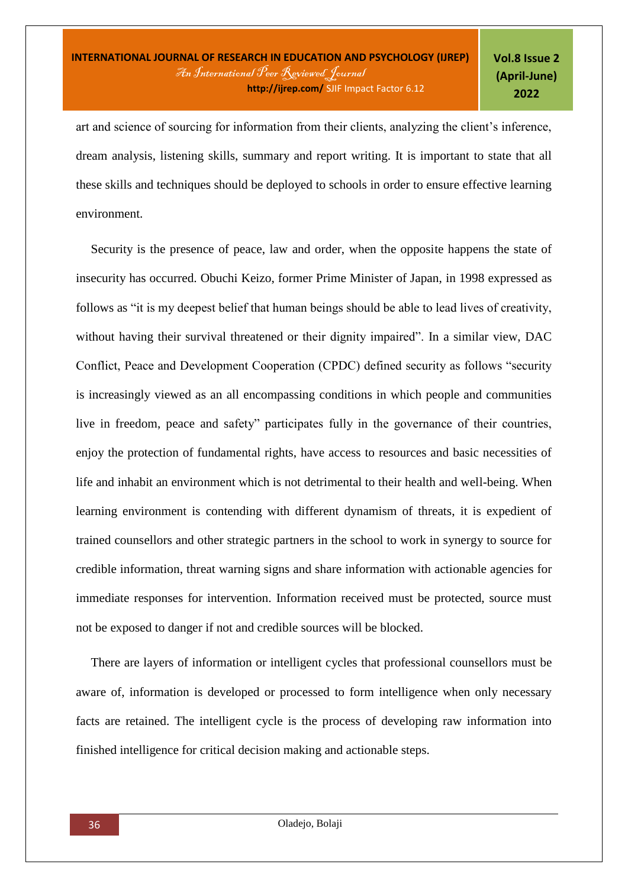art and science of sourcing for information from their clients, analyzing the client's inference, dream analysis, listening skills, summary and report writing. It is important to state that all these skills and techniques should be deployed to schools in order to ensure effective learning environment.

Security is the presence of peace, law and order, when the opposite happens the state of insecurity has occurred. Obuchi Keizo, former Prime Minister of Japan, in 1998 expressed as follows as "it is my deepest belief that human beings should be able to lead lives of creativity, without having their survival threatened or their dignity impaired". In a similar view, DAC Conflict, Peace and Development Cooperation (CPDC) defined security as follows "security is increasingly viewed as an all encompassing conditions in which people and communities live in freedom, peace and safety" participates fully in the governance of their countries, enjoy the protection of fundamental rights, have access to resources and basic necessities of life and inhabit an environment which is not detrimental to their health and well-being. When learning environment is contending with different dynamism of threats, it is expedient of trained counsellors and other strategic partners in the school to work in synergy to source for credible information, threat warning signs and share information with actionable agencies for immediate responses for intervention. Information received must be protected, source must not be exposed to danger if not and credible sources will be blocked.

There are layers of information or intelligent cycles that professional counsellors must be aware of, information is developed or processed to form intelligence when only necessary facts are retained. The intelligent cycle is the process of developing raw information into finished intelligence for critical decision making and actionable steps.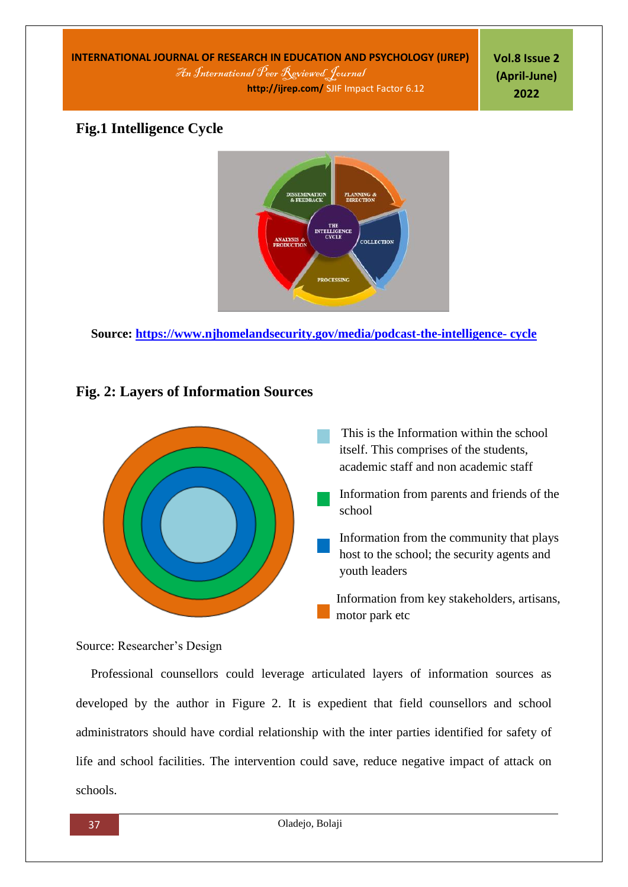**INTERNATIONAL JOURNAL OF RESEARCH IN EDUCATION AND PSYCHOLOGY (IJREP)** An International Peer Reviewed Journal  **http://ijrep.com/** SJIF Impact Factor 6.12

**Vol.8 Issue 2 (April-June) 2022**

# **Fig.1 Intelligence Cycle**



**Source: [https://www.njhomelandsecurity.gov/media/podcast-the-intelligence-](https://www.njhomelandsecurity.gov/media/podcast-the-intelligence-%20cycle) cycle**

# **Fig. 2: Layers of Information Sources**



# Source: Researcher's Design

Professional counsellors could leverage articulated layers of information sources as developed by the author in Figure 2. It is expedient that field counsellors and school administrators should have cordial relationship with the inter parties identified for safety of life and school facilities. The intervention could save, reduce negative impact of attack on schools.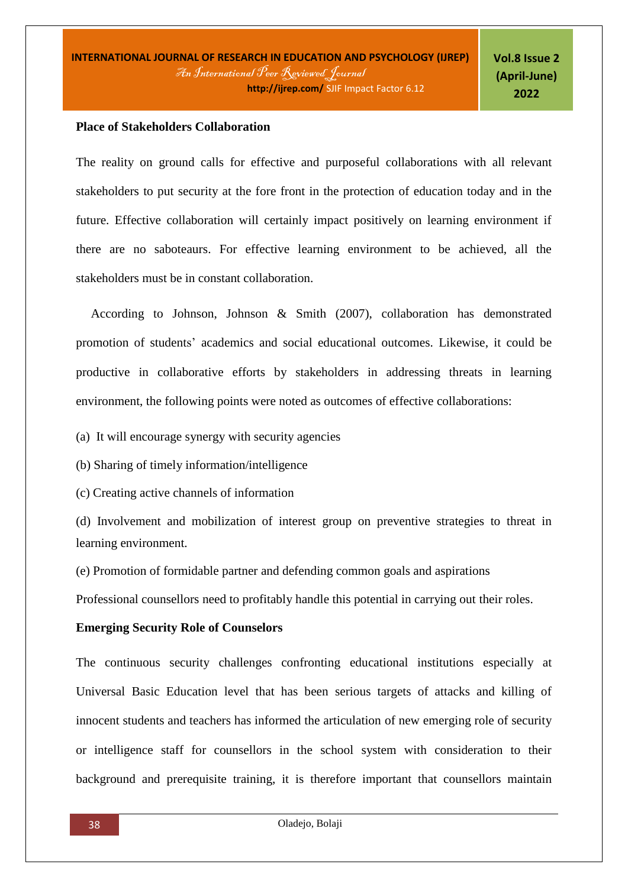#### **Place of Stakeholders Collaboration**

The reality on ground calls for effective and purposeful collaborations with all relevant stakeholders to put security at the fore front in the protection of education today and in the future. Effective collaboration will certainly impact positively on learning environment if there are no saboteaurs. For effective learning environment to be achieved, all the stakeholders must be in constant collaboration.

According to Johnson, Johnson & Smith (2007), collaboration has demonstrated promotion of students' academics and social educational outcomes. Likewise, it could be productive in collaborative efforts by stakeholders in addressing threats in learning environment, the following points were noted as outcomes of effective collaborations:

(a) It will encourage synergy with security agencies

(b) Sharing of timely information/intelligence

(c) Creating active channels of information

(d) Involvement and mobilization of interest group on preventive strategies to threat in learning environment.

(e) Promotion of formidable partner and defending common goals and aspirations

Professional counsellors need to profitably handle this potential in carrying out their roles.

## **Emerging Security Role of Counselors**

The continuous security challenges confronting educational institutions especially at Universal Basic Education level that has been serious targets of attacks and killing of innocent students and teachers has informed the articulation of new emerging role of security or intelligence staff for counsellors in the school system with consideration to their background and prerequisite training, it is therefore important that counsellors maintain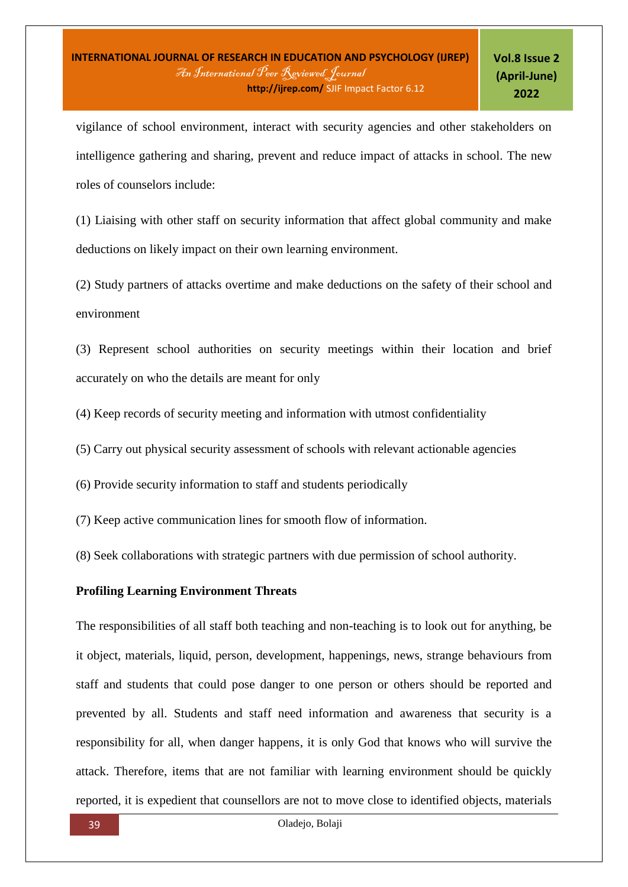vigilance of school environment, interact with security agencies and other stakeholders on intelligence gathering and sharing, prevent and reduce impact of attacks in school. The new roles of counselors include:

(1) Liaising with other staff on security information that affect global community and make deductions on likely impact on their own learning environment.

(2) Study partners of attacks overtime and make deductions on the safety of their school and environment

(3) Represent school authorities on security meetings within their location and brief accurately on who the details are meant for only

(4) Keep records of security meeting and information with utmost confidentiality

(5) Carry out physical security assessment of schools with relevant actionable agencies

(6) Provide security information to staff and students periodically

(7) Keep active communication lines for smooth flow of information.

(8) Seek collaborations with strategic partners with due permission of school authority.

### **Profiling Learning Environment Threats**

The responsibilities of all staff both teaching and non-teaching is to look out for anything, be it object, materials, liquid, person, development, happenings, news, strange behaviours from staff and students that could pose danger to one person or others should be reported and prevented by all. Students and staff need information and awareness that security is a responsibility for all, when danger happens, it is only God that knows who will survive the attack. Therefore, items that are not familiar with learning environment should be quickly reported, it is expedient that counsellors are not to move close to identified objects, materials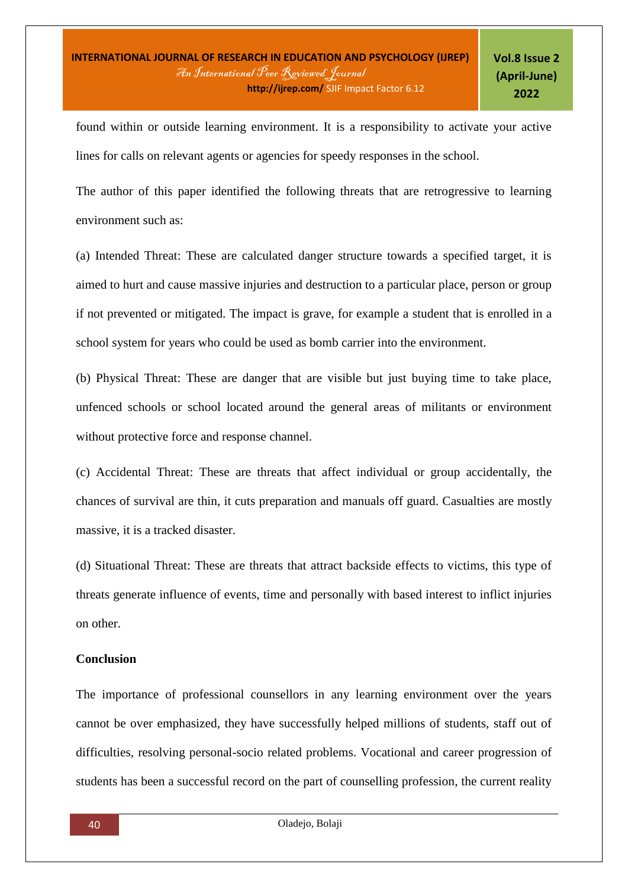found within or outside learning environment. It is a responsibility to activate your active lines for calls on relevant agents or agencies for speedy responses in the school.

The author of this paper identified the following threats that are retrogressive to learning environment such as:

(a) Intended Threat: These are calculated danger structure towards a specified target, it is aimed to hurt and cause massive injuries and destruction to a particular place, person or group if not prevented or mitigated. The impact is grave, for example a student that is enrolled in a school system for years who could be used as bomb carrier into the environment.

(b) Physical Threat: These are danger that are visible but just buying time to take place, unfenced schools or school located around the general areas of militants or environment without protective force and response channel.

(c) Accidental Threat: These are threats that affect individual or group accidentally, the chances of survival are thin, it cuts preparation and manuals off guard. Casualties are mostly massive, it is a tracked disaster.

(d) Situational Threat: These are threats that attract backside effects to victims, this type of threats generate influence of events, time and personally with based interest to inflict injuries on other.

### **Conclusion**

The importance of professional counsellors in any learning environment over the years cannot be over emphasized, they have successfully helped millions of students, staff out of difficulties, resolving personal-socio related problems. Vocational and career progression of students has been a successful record on the part of counselling profession, the current reality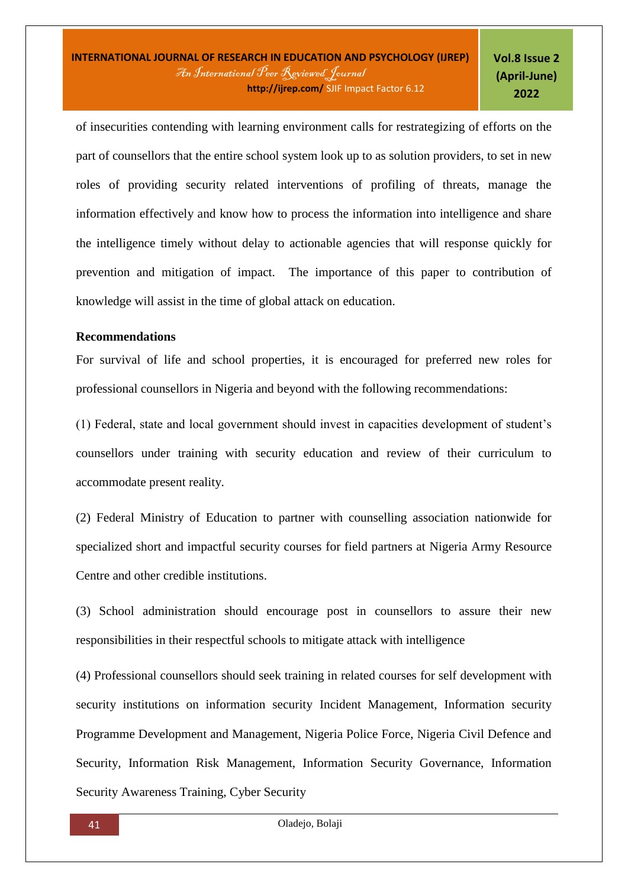of insecurities contending with learning environment calls for restrategizing of efforts on the part of counsellors that the entire school system look up to as solution providers, to set in new roles of providing security related interventions of profiling of threats, manage the information effectively and know how to process the information into intelligence and share the intelligence timely without delay to actionable agencies that will response quickly for prevention and mitigation of impact. The importance of this paper to contribution of knowledge will assist in the time of global attack on education.

# **Recommendations**

For survival of life and school properties, it is encouraged for preferred new roles for professional counsellors in Nigeria and beyond with the following recommendations:

(1) Federal, state and local government should invest in capacities development of student's counsellors under training with security education and review of their curriculum to accommodate present reality.

(2) Federal Ministry of Education to partner with counselling association nationwide for specialized short and impactful security courses for field partners at Nigeria Army Resource Centre and other credible institutions.

(3) School administration should encourage post in counsellors to assure their new responsibilities in their respectful schools to mitigate attack with intelligence

(4) Professional counsellors should seek training in related courses for self development with security institutions on information security Incident Management, Information security Programme Development and Management, Nigeria Police Force, Nigeria Civil Defence and Security, Information Risk Management, Information Security Governance, Information Security Awareness Training, Cyber Security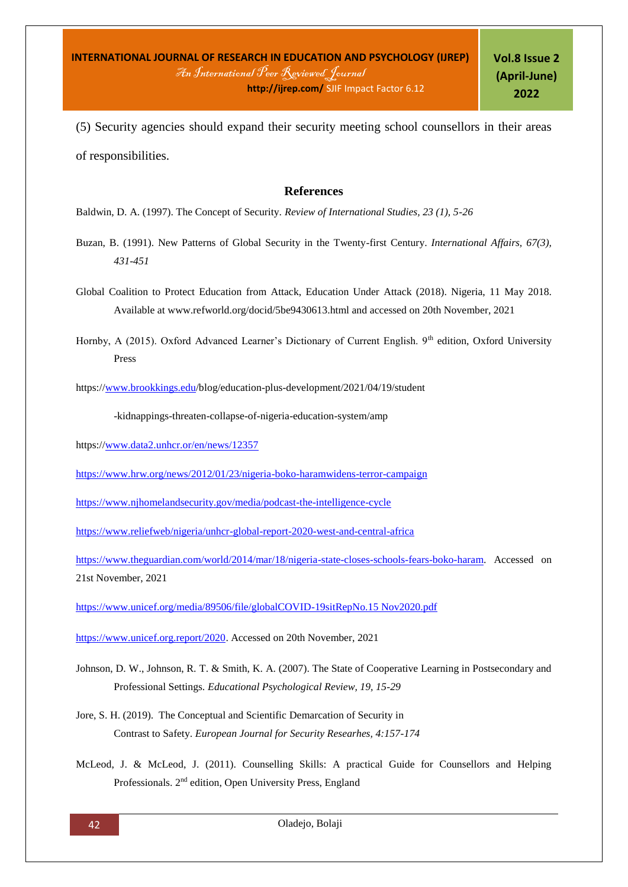(5) Security agencies should expand their security meeting school counsellors in their areas of responsibilities.

### **References**

Baldwin, D. A. (1997). The Concept of Security. *Review of International Studies, 23 (1), 5-26*

- Buzan, B. (1991). New Patterns of Global Security in the Twenty-first Century. *International Affairs, 67(3), 431-451*
- Global Coalition to Protect Education from Attack, Education Under Attack (2018). Nigeria, 11 May 2018. Available at www.refworld.org/docid/5be9430613.html and accessed on 20th November, 2021
- Hornby, A (2015). Oxford Advanced Learner's Dictionary of Current English. 9<sup>th</sup> edition, Oxford University Press

https:/[/www.brookkings.edu/](http://www.brookkings.edu/)blog/education-plus-development/2021/04/19/student

-kidnappings-threaten-collapse-of-nigeria-education-system/amp

https:/[/www.data2.unhcr.or/en/news/12357](http://www.data2.unhcr.or/en/news/12357)

<https://www.hrw.org/news/2012/01/23/nigeria-boko-haramwidens-terror-campaign>

<https://www.njhomelandsecurity.gov/media/podcast-the-intelligence-cycle>

<https://www.reliefweb/nigeria/unhcr-global-report-2020-west-and-central-africa>

[https://www.theguardian.com/world/2014/mar/18/nigeria-state-closes-schools-fears-boko-haram.](https://www.theguardian.com/world/2014/mar/18/nigeria-state-closes-schools-fears-boko-haram) Accessed on 21st November, 2021

[https://www.unicef.org/media/89506/file/globalCOVID-19sitRepNo.15 Nov2020.pdf](https://www.unicef.org/media/89506/file/globalCOVID-19sitRepNo.15%20Nov2020.pdf)

[https://www.unicef.org.report/2020.](https://www.unicef.org.report/2020) Accessed on 20th November, 2021

- Johnson, D. W., Johnson, R. T. & Smith, K. A. (2007). The State of Cooperative Learning in Postsecondary and Professional Settings. *Educational Psychological Review, 19, 15-29*
- Jore, S. H. (2019). The Conceptual and Scientific Demarcation of Security in Contrast to Safety. *European Journal for Security Researhes, 4:157-174*
- McLeod, J. & McLeod, J. (2011). Counselling Skills: A practical Guide for Counsellors and Helping Professionals. 2nd edition, Open University Press, England